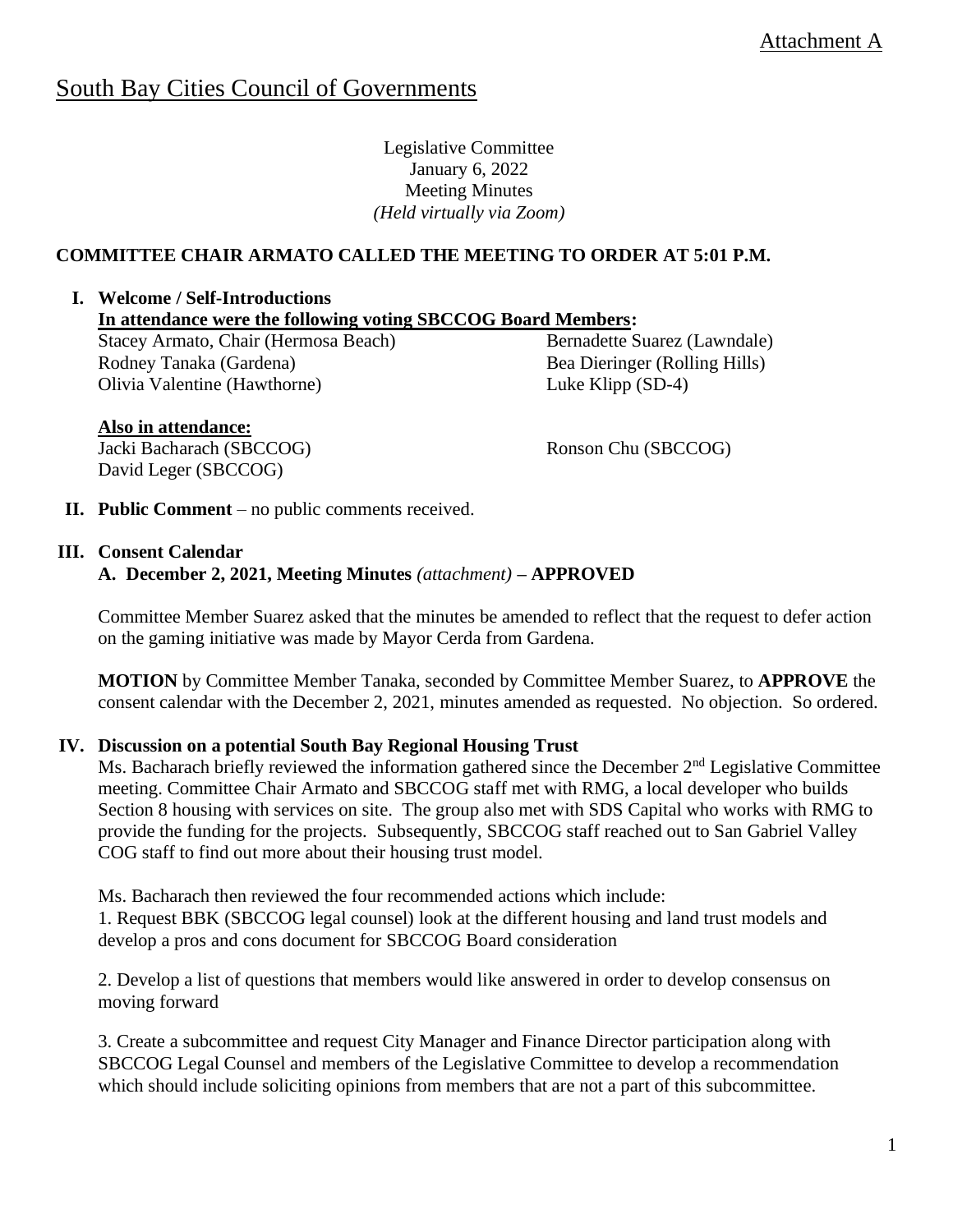# South Bay Cities Council of Governments

Legislative Committee January 6, 2022 Meeting Minutes *(Held virtually via Zoom)*

# **COMMITTEE CHAIR ARMATO CALLED THE MEETING TO ORDER AT 5:01 P.M.**

#### **I. Welcome / Self-Introductions**

**In attendance were the following voting SBCCOG Board Members:** 

Stacey Armato, Chair (Hermosa Beach) Rodney Tanaka (Gardena) Olivia Valentine (Hawthorne)

Bernadette Suarez (Lawndale) Bea Dieringer (Rolling Hills) Luke Klipp (SD-4)

## **Also in attendance:**

Jacki Bacharach (SBCCOG) David Leger (SBCCOG)

Ronson Chu (SBCCOG)

**II. Public Comment** – no public comments received.

#### **III. Consent Calendar**

#### **A. December 2, 2021, Meeting Minutes** *(attachment)* **– APPROVED**

Committee Member Suarez asked that the minutes be amended to reflect that the request to defer action on the gaming initiative was made by Mayor Cerda from Gardena.

**MOTION** by Committee Member Tanaka, seconded by Committee Member Suarez, to **APPROVE** the consent calendar with the December 2, 2021, minutes amended as requested. No objection. So ordered.

#### **IV. Discussion on a potential South Bay Regional Housing Trust**

Ms. Bacharach briefly reviewed the information gathered since the December 2<sup>nd</sup> Legislative Committee meeting. Committee Chair Armato and SBCCOG staff met with RMG, a local developer who builds Section 8 housing with services on site. The group also met with SDS Capital who works with RMG to provide the funding for the projects. Subsequently, SBCCOG staff reached out to San Gabriel Valley COG staff to find out more about their housing trust model.

Ms. Bacharach then reviewed the four recommended actions which include:

1. Request BBK (SBCCOG legal counsel) look at the different housing and land trust models and develop a pros and cons document for SBCCOG Board consideration

2. Develop a list of questions that members would like answered in order to develop consensus on moving forward

3. Create a subcommittee and request City Manager and Finance Director participation along with SBCCOG Legal Counsel and members of the Legislative Committee to develop a recommendation which should include soliciting opinions from members that are not a part of this subcommittee.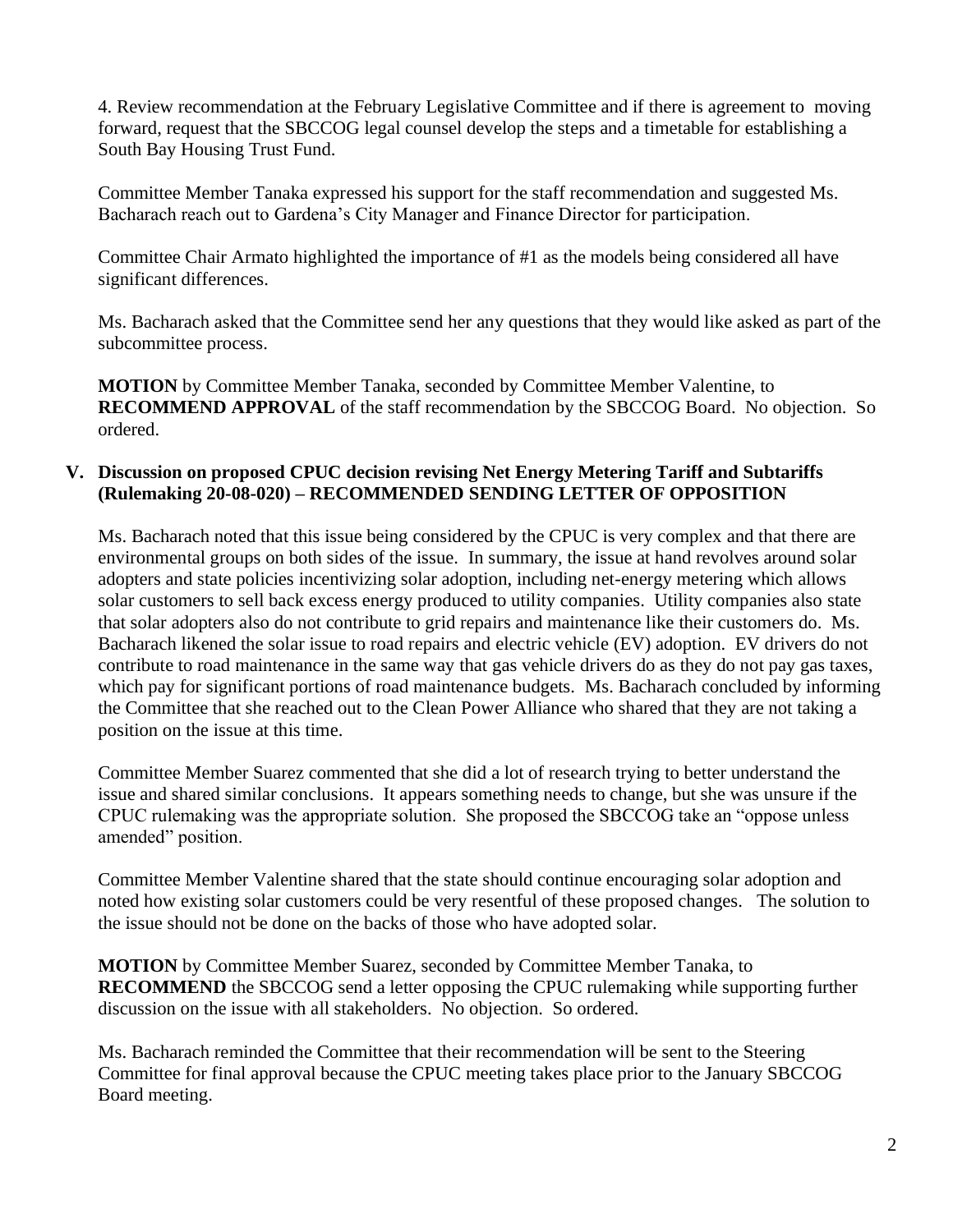4. Review recommendation at the February Legislative Committee and if there is agreement to moving forward, request that the SBCCOG legal counsel develop the steps and a timetable for establishing a South Bay Housing Trust Fund.

Committee Member Tanaka expressed his support for the staff recommendation and suggested Ms. Bacharach reach out to Gardena's City Manager and Finance Director for participation.

Committee Chair Armato highlighted the importance of #1 as the models being considered all have significant differences.

Ms. Bacharach asked that the Committee send her any questions that they would like asked as part of the subcommittee process.

**MOTION** by Committee Member Tanaka, seconded by Committee Member Valentine, to **RECOMMEND APPROVAL** of the staff recommendation by the SBCCOG Board. No objection. So ordered.

## **V. Discussion on proposed CPUC decision revising Net Energy Metering Tariff and Subtariffs (Rulemaking 20-08-020) – RECOMMENDED SENDING LETTER OF OPPOSITION**

Ms. Bacharach noted that this issue being considered by the CPUC is very complex and that there are environmental groups on both sides of the issue. In summary, the issue at hand revolves around solar adopters and state policies incentivizing solar adoption, including net-energy metering which allows solar customers to sell back excess energy produced to utility companies. Utility companies also state that solar adopters also do not contribute to grid repairs and maintenance like their customers do. Ms. Bacharach likened the solar issue to road repairs and electric vehicle (EV) adoption. EV drivers do not contribute to road maintenance in the same way that gas vehicle drivers do as they do not pay gas taxes, which pay for significant portions of road maintenance budgets. Ms. Bacharach concluded by informing the Committee that she reached out to the Clean Power Alliance who shared that they are not taking a position on the issue at this time.

Committee Member Suarez commented that she did a lot of research trying to better understand the issue and shared similar conclusions. It appears something needs to change, but she was unsure if the CPUC rulemaking was the appropriate solution. She proposed the SBCCOG take an "oppose unless amended" position.

Committee Member Valentine shared that the state should continue encouraging solar adoption and noted how existing solar customers could be very resentful of these proposed changes. The solution to the issue should not be done on the backs of those who have adopted solar.

**MOTION** by Committee Member Suarez, seconded by Committee Member Tanaka, to **RECOMMEND** the SBCCOG send a letter opposing the CPUC rulemaking while supporting further discussion on the issue with all stakeholders.No objection. So ordered.

Ms. Bacharach reminded the Committee that their recommendation will be sent to the Steering Committee for final approval because the CPUC meeting takes place prior to the January SBCCOG Board meeting.